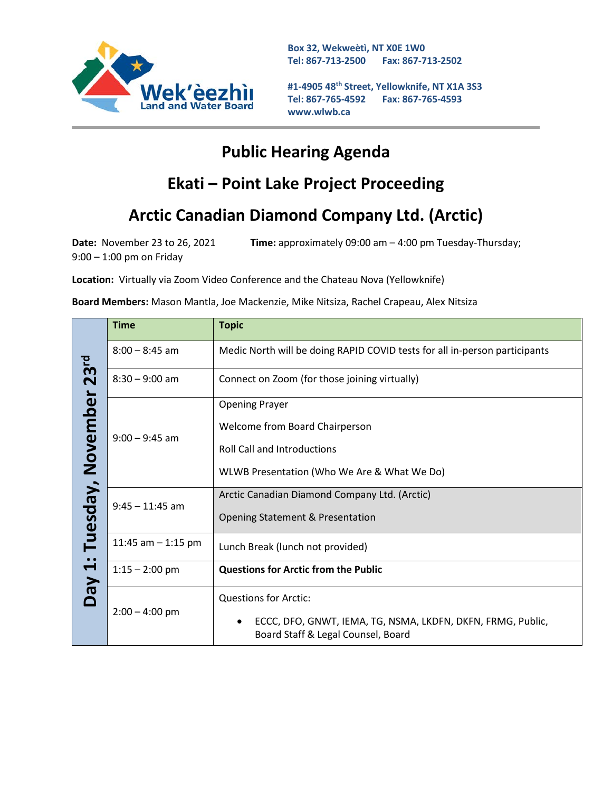

**Box 32, Wekweètì, NT X0E 1W0 Tel: 867-713-2500 Fax: 867-713-2502** 

**#1-4905 48th Street, Yellowknife, NT X1A 3S3 Tel: 867-765-4592 Fax: 867-765-4593 www.wlwb.ca**

### **Public Hearing Agenda**

# **Ekati – Point Lake Project Proceeding**

# **Arctic Canadian Diamond Company Ltd. (Arctic)**

**Date:** November 23 to 26, 2021 **Time:** approximately 09:00 am – 4:00 pm Tuesday-Thursday; 9:00 – 1:00 pm on Friday

**Location:** Virtually via Zoom Video Conference and the Chateau Nova (Yellowknife)

**Board Members:** Mason Mantla, Joe Mackenzie, Mike Nitsiza, Rachel Crapeau, Alex Nitsiza

| 23 <sup>rd</sup><br>November<br>Tuesday,<br>$\bullet$<br>$\blacktriangleleft$<br>VeQ | <b>Time</b>          | <b>Topic</b>                                                                                      |
|--------------------------------------------------------------------------------------|----------------------|---------------------------------------------------------------------------------------------------|
|                                                                                      | $8:00 - 8:45$ am     | Medic North will be doing RAPID COVID tests for all in-person participants                        |
|                                                                                      | $8:30 - 9:00$ am     | Connect on Zoom (for those joining virtually)                                                     |
|                                                                                      | $9:00 - 9:45$ am     | <b>Opening Prayer</b>                                                                             |
|                                                                                      |                      | Welcome from Board Chairperson                                                                    |
|                                                                                      |                      | <b>Roll Call and Introductions</b>                                                                |
|                                                                                      |                      | WLWB Presentation (Who We Are & What We Do)                                                       |
|                                                                                      | $9:45 - 11:45$ am    | Arctic Canadian Diamond Company Ltd. (Arctic)                                                     |
|                                                                                      |                      | Opening Statement & Presentation                                                                  |
|                                                                                      | 11:45 am $-$ 1:15 pm | Lunch Break (lunch not provided)                                                                  |
|                                                                                      | $1:15 - 2:00$ pm     | <b>Questions for Arctic from the Public</b>                                                       |
|                                                                                      | $2:00 - 4:00$ pm     | <b>Questions for Arctic:</b>                                                                      |
|                                                                                      |                      | ECCC, DFO, GNWT, IEMA, TG, NSMA, LKDFN, DKFN, FRMG, Public,<br>Board Staff & Legal Counsel, Board |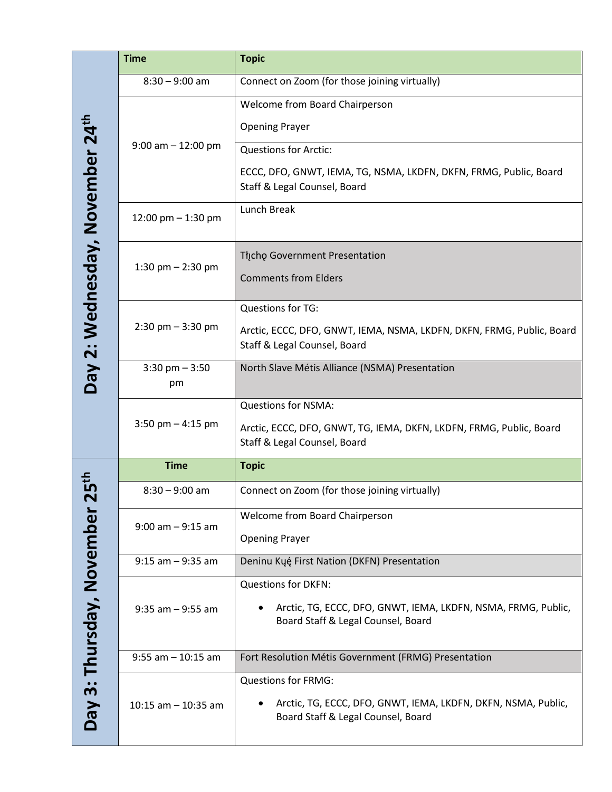|                                             | <b>Time</b>             | <b>Topic</b>                                                                                                                      |
|---------------------------------------------|-------------------------|-----------------------------------------------------------------------------------------------------------------------------------|
|                                             | $8:30 - 9:00$ am        | Connect on Zoom (for those joining virtually)                                                                                     |
|                                             | $9:00$ am $-12:00$ pm   | Welcome from Board Chairperson                                                                                                    |
|                                             |                         | <b>Opening Prayer</b>                                                                                                             |
|                                             |                         | <b>Questions for Arctic:</b>                                                                                                      |
|                                             |                         | ECCC, DFO, GNWT, IEMA, TG, NSMA, LKDFN, DKFN, FRMG, Public, Board<br>Staff & Legal Counsel, Board                                 |
|                                             | 12:00 pm $-$ 1:30 pm    | Lunch Break                                                                                                                       |
| Day 2: Wednesday, November 24 <sup>th</sup> | 1:30 pm $-$ 2:30 pm     | Thcho Government Presentation<br><b>Comments from Elders</b>                                                                      |
|                                             | $2:30$ pm $-3:30$ pm    | Questions for TG:<br>Arctic, ECCC, DFO, GNWT, IEMA, NSMA, LKDFN, DKFN, FRMG, Public, Board                                        |
|                                             |                         | Staff & Legal Counsel, Board                                                                                                      |
|                                             | $3:30$ pm $-3:50$<br>pm | North Slave Métis Alliance (NSMA) Presentation                                                                                    |
|                                             | 3:50 pm $-$ 4:15 pm     | <b>Questions for NSMA:</b>                                                                                                        |
|                                             |                         | Arctic, ECCC, DFO, GNWT, TG, IEMA, DKFN, LKDFN, FRMG, Public, Board<br>Staff & Legal Counsel, Board                               |
|                                             | <b>Time</b>             | <b>Topic</b>                                                                                                                      |
| $\cdot$                                     | $8:30 - 9:00$ am        | Connect on Zoom (for those joining virtually)                                                                                     |
|                                             | $9:00$ am $-9:15$ am    | Welcome from Board Chairperson                                                                                                    |
|                                             |                         | <b>Opening Prayer</b>                                                                                                             |
|                                             | $9:15$ am $-9:35$ am    | Deninu Kųę́ First Nation (DKFN) Presentation                                                                                      |
|                                             |                         | <b>Questions for DKFN:</b>                                                                                                        |
|                                             | $9:35$ am $-9:55$ am    | Arctic, TG, ECCC, DFO, GNWT, IEMA, LKDFN, NSMA, FRMG, Public,<br>Board Staff & Legal Counsel, Board                               |
|                                             | $9:55$ am $-10:15$ am   | Fort Resolution Métis Government (FRMG) Presentation                                                                              |
| Day 3: Thursday, November                   | $10:15$ am $-10:35$ am  | <b>Questions for FRMG:</b><br>Arctic, TG, ECCC, DFO, GNWT, IEMA, LKDFN, DKFN, NSMA, Public,<br>Board Staff & Legal Counsel, Board |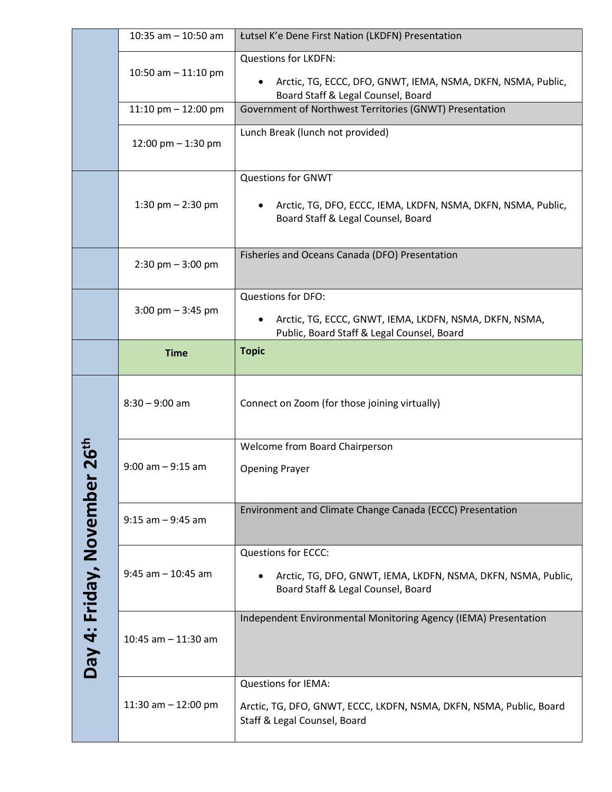|                         | 10:35 am $-$ 10:50 am               | Łutsel K'e Dene First Nation (LKDFN) Presentation                                                                                             |
|-------------------------|-------------------------------------|-----------------------------------------------------------------------------------------------------------------------------------------------|
|                         | 10:50 am $-$ 11:10 pm               | <b>Questions for LKDFN:</b><br>Arctic, TG, ECCC, DFO, GNWT, IEMA, NSMA, DKFN, NSMA, Public,<br>Board Staff & Legal Counsel, Board             |
|                         | 11:10 pm $-$ 12:00 pm               | Government of Northwest Territories (GNWT) Presentation                                                                                       |
|                         | 12:00 pm $-$ 1:30 pm                | Lunch Break (lunch not provided)                                                                                                              |
|                         | 1:30 pm $-$ 2:30 pm                 | <b>Questions for GNWT</b><br>Arctic, TG, DFO, ECCC, IEMA, LKDFN, NSMA, DKFN, NSMA, Public,<br>$\bullet$<br>Board Staff & Legal Counsel, Board |
|                         | $2:30$ pm $-3:00$ pm                | Fisheries and Oceans Canada (DFO) Presentation                                                                                                |
|                         |                                     | Questions for DFO:                                                                                                                            |
|                         | $3:00 \text{ pm} - 3:45 \text{ pm}$ | Arctic, TG, ECCC, GNWT, IEMA, LKDFN, NSMA, DKFN, NSMA,<br>$\bullet$<br>Public, Board Staff & Legal Counsel, Board                             |
|                         | <b>Time</b>                         | <b>Topic</b>                                                                                                                                  |
|                         | $8:30 - 9:00$ am                    | Connect on Zoom (for those joining virtually)                                                                                                 |
|                         | $9:00$ am $-9:15$ am                | Welcome from Board Chairperson                                                                                                                |
|                         |                                     | <b>Opening Prayer</b>                                                                                                                         |
|                         | $9:15$ am $-9:45$ am                | Environment and Climate Change Canada (ECCC) Presentation                                                                                     |
|                         | $9:45$ am $-10:45$ am               | Questions for ECCC:                                                                                                                           |
|                         |                                     | Arctic, TG, DFO, GNWT, IEMA, LKDFN, NSMA, DKFN, NSMA, Public,<br>Board Staff & Legal Counsel, Board                                           |
| Day 4: Friday, November | 10:45 am $-$ 11:30 am               | Independent Environmental Monitoring Agency (IEMA) Presentation                                                                               |
|                         | 11:30 am $-$ 12:00 pm               | <b>Questions for IEMA:</b><br>Arctic, TG, DFO, GNWT, ECCC, LKDFN, NSMA, DKFN, NSMA, Public, Board<br>Staff & Legal Counsel, Board             |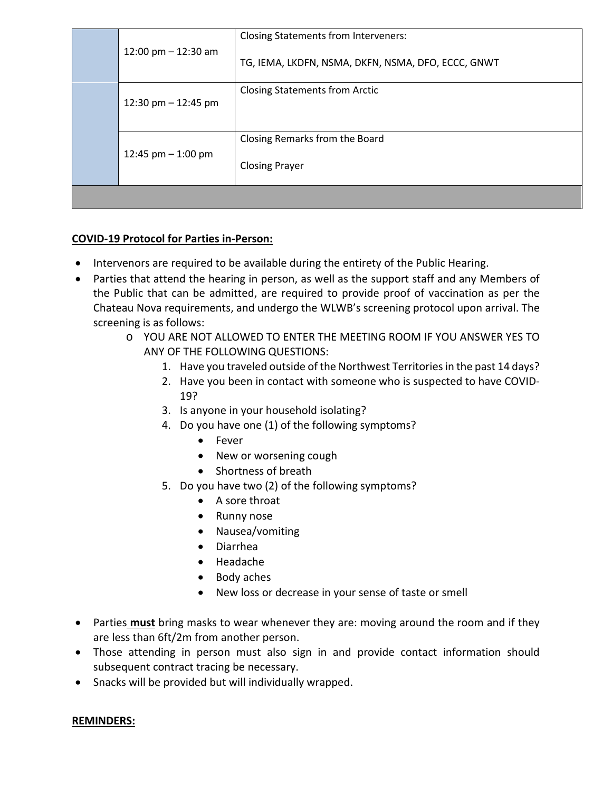|  | 12:00 pm $-$ 12:30 am | <b>Closing Statements from Interveners:</b>             |
|--|-----------------------|---------------------------------------------------------|
|  |                       | TG, IEMA, LKDFN, NSMA, DKFN, NSMA, DFO, ECCC, GNWT      |
|  | 12:30 pm $-$ 12:45 pm | <b>Closing Statements from Arctic</b>                   |
|  | 12:45 pm $-$ 1:00 pm  | Closing Remarks from the Board<br><b>Closing Prayer</b> |
|  |                       |                                                         |

#### **COVID-19 Protocol for Parties in-Person:**

- Intervenors are required to be available during the entirety of the Public Hearing.
- Parties that attend the hearing in person, as well as the support staff and any Members of the Public that can be admitted, are required to provide proof of vaccination as per the Chateau Nova requirements, and undergo the WLWB's screening protocol upon arrival. The screening is as follows:
	- o YOU ARE NOT ALLOWED TO ENTER THE MEETING ROOM IF YOU ANSWER YES TO ANY OF THE FOLLOWING QUESTIONS:
		- 1. Have you traveled outside of the Northwest Territories in the past 14 days?
		- 2. Have you been in contact with someone who is suspected to have COVID-19?
		- 3. Is anyone in your household isolating?
		- 4. Do you have one (1) of the following symptoms?
			- Fever
			- New or worsening cough
			- Shortness of breath
		- 5. Do you have two (2) of the following symptoms?
			- A sore throat
			- Runny nose
			- Nausea/vomiting
			- Diarrhea
			- Headache
			- Body aches
			- New loss or decrease in your sense of taste or smell
- Parties **must** bring masks to wear whenever they are: moving around the room and if they are less than 6ft/2m from another person.
- Those attending in person must also sign in and provide contact information should subsequent contract tracing be necessary.
- Snacks will be provided but will individually wrapped.

#### **REMINDERS:**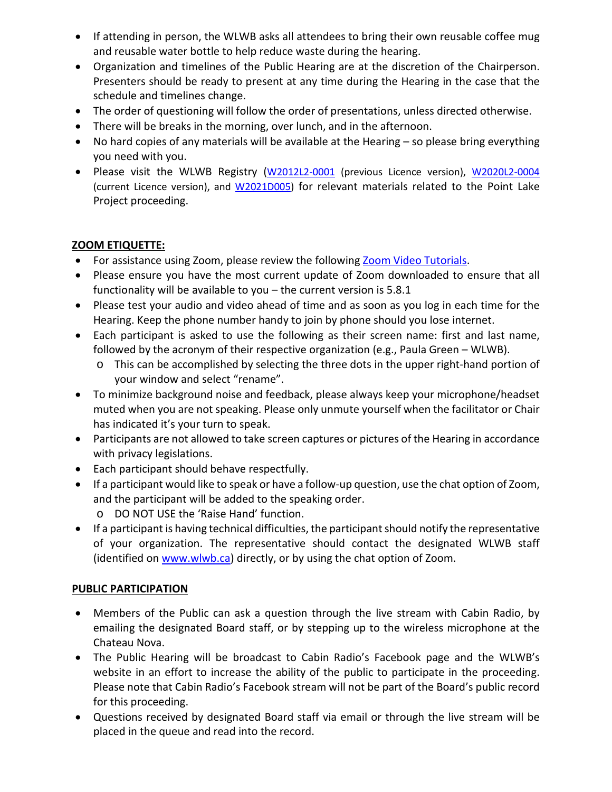- If attending in person, the WLWB asks all attendees to bring their own reusable coffee mug and reusable water bottle to help reduce waste during the hearing.
- Organization and timelines of the Public Hearing are at the discretion of the Chairperson. Presenters should be ready to present at any time during the Hearing in the case that the schedule and timelines change.
- The order of questioning will follow the order of presentations, unless directed otherwise.
- There will be breaks in the morning, over lunch, and in the afternoon.
- No hard copies of any materials will be available at the Hearing so please bring everything you need with you.
- Please visit the WLWB Registry [\(W2012L2-0001](https://mvlwb.com/registry/W2012L2-0001) (previous Licence version), [W2020L2-0004](https://mvlwb.com/registry/W2020L2-0004) (current Licence version), and **W2021D005**) for relevant materials related to the Point Lake Project proceeding.

#### **ZOOM ETIQUETTE:**

- For assistance using Zoom, please review the following [Zoom Video Tutorials.](https://support.zoom.us/hc/en-us/articles/206618765-Zoom-Video-Tutorials)
- Please ensure you have the most current update of Zoom downloaded to ensure that all functionality will be available to you – the current version is 5.8.1
- Please test your audio and video ahead of time and as soon as you log in each time for the Hearing. Keep the phone number handy to join by phone should you lose internet.
- Each participant is asked to use the following as their screen name: first and last name, followed by the acronym of their respective organization (e.g., Paula Green – WLWB).
	- o This can be accomplished by selecting the three dots in the upper right-hand portion of your window and select "rename".
- To minimize background noise and feedback, please always keep your microphone/headset muted when you are not speaking. Please only unmute yourself when the facilitator or Chair has indicated it's your turn to speak.
- Participants are not allowed to take screen captures or pictures of the Hearing in accordance with privacy legislations.
- Each participant should behave respectfully.
- If a participant would like to speak or have a follow-up question, use the chat option of Zoom, and the participant will be added to the speaking order.
	- o DO NOT USE the 'Raise Hand' function.
- If a participant is having technical difficulties, the participant should notify the representative of your organization. The representative should contact the designated WLWB staff (identified on [www.wlwb.ca\)](http://www.wlwb.ca/) directly, or by using the chat option of Zoom.

#### **PUBLIC PARTICIPATION**

- Members of the Public can ask a question through the live stream with Cabin Radio, by emailing the designated Board staff, or by stepping up to the wireless microphone at the Chateau Nova.
- The Public Hearing will be broadcast to Cabin Radio's Facebook page and the WLWB's website in an effort to increase the ability of the public to participate in the proceeding. Please note that Cabin Radio's Facebook stream will not be part of the Board's public record for this proceeding.
- Questions received by designated Board staff via email or through the live stream will be placed in the queue and read into the record.